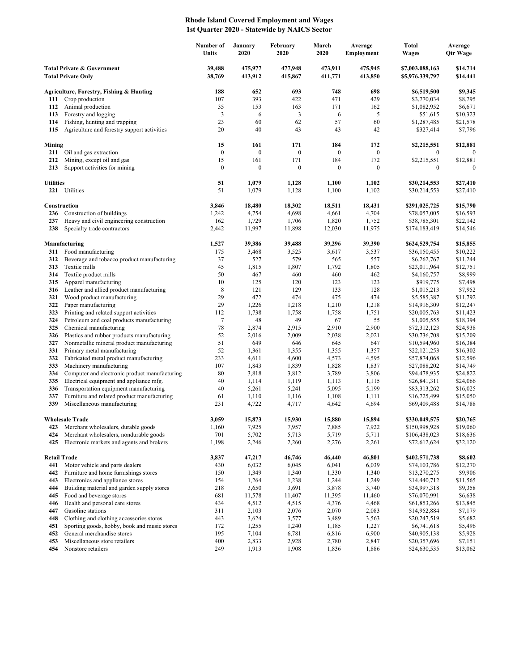## **Rhode Island Covered Employment and Wages 1st Quarter 2020 - Statewide by NAICS Sector**

|                                                                    |                                                                                          | Number of<br>Units | January<br>2020    | February<br>2020   | March<br>2020      | Average<br>Employment | Total<br><b>Wages</b>              | Average<br>Qtr Wage  |
|--------------------------------------------------------------------|------------------------------------------------------------------------------------------|--------------------|--------------------|--------------------|--------------------|-----------------------|------------------------------------|----------------------|
| <b>Total Private &amp; Government</b><br><b>Total Private Only</b> |                                                                                          | 39,488<br>38,769   | 475,977<br>413,912 | 477,948<br>415,867 | 473,911<br>411,771 | 475,945<br>413,850    | \$7,003,088,163<br>\$5,976,339,797 | \$14,714<br>\$14,441 |
|                                                                    | Agriculture, Forestry, Fishing & Hunting                                                 | 188                | 652                | 693                | 748                | 698                   | \$6,519,500                        | \$9,345              |
| 111                                                                | Crop production                                                                          | 107                | 393                | 422                | 471                | 429                   | \$3,770,034                        | \$8,795              |
| 112                                                                | Animal production                                                                        | 35                 | 153                | 163                | 171                | 162                   | \$1,082,952                        | \$6,671              |
| 113                                                                | Forestry and logging                                                                     | 3                  | 6                  | 3                  | 6                  | 5                     | \$51,615                           | \$10,323             |
| 114                                                                | Fishing, hunting and trapping                                                            | 23                 | 60                 | 62                 | 57                 | 60                    | \$1,287,485                        | \$21,578             |
| 115                                                                | Agriculture and forestry support activities                                              | 20                 | 40                 | 43                 | 43                 | 42                    | \$327,414                          | \$7,796              |
| Mining                                                             |                                                                                          | 15                 | 161                | 171                | 184                | 172                   | \$2,215,551                        | \$12,881             |
| 211                                                                | Oil and gas extraction                                                                   | $\boldsymbol{0}$   | $\boldsymbol{0}$   | $\boldsymbol{0}$   | $\mathbf{0}$       | $\boldsymbol{0}$      | $\boldsymbol{0}$                   | $\theta$             |
| 212                                                                | Mining, except oil and gas                                                               | 15                 | 161                | 171                | 184                | 172                   | \$2,215,551                        | \$12,881             |
| 213                                                                | Support activities for mining                                                            | $\boldsymbol{0}$   | $\boldsymbol{0}$   | $\boldsymbol{0}$   | $\boldsymbol{0}$   | $\mathbf{0}$          | $\mathbf{0}$                       | $\Omega$             |
| <b>Utilities</b>                                                   |                                                                                          | 51                 | 1,079              | 1,128              | 1,100              | 1,102                 | \$30,214,553                       | \$27,410             |
|                                                                    | 221 Utilities                                                                            | 51                 | 1,079              | 1,128              | 1,100              | 1,102                 | \$30,214,553                       | \$27,410             |
|                                                                    | Construction                                                                             | 3,846              | 18,480             | 18,302             | 18,511             | 18,431                | \$291,025,725                      | \$15,790             |
| 236                                                                | Construction of buildings                                                                | 1,242              | 4,754              | 4,698              | 4,661              | 4,704                 | \$78,057,005                       | \$16,593             |
| 237                                                                | Heavy and civil engineering construction                                                 | 162                | 1,729              | 1,706              | 1,820              | 1,752                 | \$38,785,301                       | \$22,142             |
| 238                                                                | Specialty trade contractors                                                              | 2,442              | 11,997             | 11,898             | 12,030             | 11,975                | \$174,183,419                      | \$14,546             |
|                                                                    | Manufacturing                                                                            | 1,527              | 39,386             | 39,488             | 39,296             | 39,390                | \$624,529,754                      | \$15,855             |
| 311                                                                | Food manufacturing                                                                       | 175                | 3,468              | 3,525              | 3,617              | 3,537                 | \$36,150,455                       | \$10,222             |
| 312                                                                | Beverage and tobacco product manufacturing                                               | 37                 | 527                | 579                | 565                | 557                   | \$6,262,767                        | \$11,244             |
| 313                                                                | Textile mills                                                                            | 45                 | 1,815              | 1,807              | 1,792              | 1,805                 | \$23,011,964                       | \$12,751             |
| 314                                                                | Textile product mills                                                                    | 50                 | 467                | 460                | 460                | 462                   | \$4,160,757                        | \$8,999              |
| 315                                                                | Apparel manufacturing                                                                    | 10                 | 125                | 120                | 123                | 123                   | \$919,775                          | \$7,498              |
| 316<br>321                                                         | Leather and allied product manufacturing<br>Wood product manufacturing                   | $\,$ 8 $\,$<br>29  | 121<br>472         | 129<br>474         | 133<br>475         | 128<br>474            | \$1,015,213<br>\$5,585,387         | \$7,952              |
| 322                                                                | Paper manufacturing                                                                      | 29                 | 1,226              | 1,218              | 1,210              | 1,218                 | \$14,916,309                       | \$11,792<br>\$12,247 |
| 323                                                                | Printing and related support activities                                                  | 112                | 1,738              | 1,758              | 1,758              | 1,751                 | \$20,005,763                       | \$11,423             |
| 324                                                                | Petroleum and coal products manufacturing                                                | 7                  | 48                 | 49                 | 67                 | 55                    | \$1,005,555                        | \$18,394             |
| 325                                                                | Chemical manufacturing                                                                   | 78                 | 2,874              | 2,915              | 2,910              | 2,900                 | \$72,312,123                       | \$24,938             |
| 326                                                                | Plastics and rubber products manufacturing                                               | 52                 | 2,016              | 2,009              | 2,038              | 2,021                 | \$30,736,708                       | \$15,209             |
| 327                                                                | Nonmetallic mineral product manufacturing                                                | 51                 | 649                | 646                | 645                | 647                   | \$10,594,960                       | \$16,384             |
| 331                                                                | Primary metal manufacturing                                                              | 52                 | 1,361              | 1,355              | 1,355              | 1,357                 | \$22,121,253                       | \$16,302             |
| 332                                                                | Fabricated metal product manufacturing                                                   | 233                | 4,611              | 4,600              | 4,573              | 4,595                 | \$57,874,068                       | \$12,596             |
| 333                                                                | Machinery manufacturing                                                                  | 107                | 1,843              | 1,839              | 1,828              | 1,837                 | \$27,088,202                       | \$14,749             |
| 334<br>335                                                         | Computer and electronic product manufacturing<br>Electrical equipment and appliance mfg. | 80<br>40           | 3,818<br>1,114     | 3,812<br>1,119     | 3,789<br>1,113     | 3,806<br>1,115        | \$94,478,935<br>\$26,841,311       | \$24,822<br>\$24,066 |
| 336                                                                | Transportation equipment manufacturing                                                   | 40                 | 5,261              | 5,241              | 5,095              | 5,199                 | \$83,313,262                       | \$16,025             |
| 337                                                                | Furniture and related product manufacturing                                              | 61                 | 1,110              | 1,116              | 1,108              | 1,111                 | \$16,725,499                       | \$15,050             |
| 339                                                                | Miscellaneous manufacturing                                                              | 231                | 4,722              | 4,717              | 4,642              | 4,694                 | \$69,409,488                       | \$14,788             |
|                                                                    | <b>Wholesale Trade</b>                                                                   | 3,059              | 15.873             | 15.930             | 15,880             | 15,894                | \$330,049,575                      | \$20,765             |
| 423                                                                | Merchant wholesalers, durable goods                                                      | 1,160              | 7,925              | 7,957              | 7,885              | 7,922                 | \$150,998,928                      | \$19,060             |
| 424                                                                | Merchant wholesalers, nondurable goods                                                   | 701                | 5,702              | 5,713              | 5,719              | 5,711                 | \$106,438,023                      | \$18,636             |
| 425                                                                | Electronic markets and agents and brokers                                                | 1,198              | 2,246              | 2,260              | 2,276              | 2,261                 | \$72,612,624                       | \$32,120             |
| <b>Retail Trade</b>                                                |                                                                                          | 3,837              | 47,217             | 46,746             | 46,440             | 46,801                | \$402,571,738                      | \$8,602              |
| 441                                                                | Motor vehicle and parts dealers                                                          | 430                | 6,032              | 6,045              | 6,041              | 6,039                 | \$74,103,786                       | \$12,270             |
| 442                                                                | Furniture and home furnishings stores                                                    | 150                | 1,349              | 1,340              | 1,330              | 1,340                 | \$13,270,275                       | \$9,906              |
| 443                                                                | Electronics and appliance stores                                                         | 154                | 1,264              | 1,238              | 1,244              | 1,249                 | \$14,440,712                       | \$11,565             |
| 444                                                                | Building material and garden supply stores                                               | 218                | 3,650              | 3,691              | 3,878              | 3,740                 | \$34,997,318                       | \$9,358              |
| 445                                                                | Food and beverage stores                                                                 | 681                | 11,578             | 11,407             | 11,395             | 11,460                | \$76,070,991                       | \$6,638              |
| 446                                                                | Health and personal care stores                                                          | 434                | 4,512              | 4,515              | 4,376              | 4,468                 | \$61,853,266                       | \$13,845             |
| 447                                                                | Gasoline stations                                                                        | 311                | 2,103              | 2,076              | 2,070              | 2,083                 | \$14,952,884                       | \$7,179              |
| 448<br>451                                                         | Clothing and clothing accessories stores<br>Sporting goods, hobby, book and music stores | 443<br>172         | 3,624<br>1,255     | 3,577<br>1,240     | 3,489<br>1,185     | 3,563<br>1,227        | \$20,247,519<br>\$6,741,618        | \$5,682<br>\$5,496   |
| 452                                                                | General merchandise stores                                                               | 195                | 7,104              | 6,781              | 6,816              | 6,900                 | \$40,905,138                       | \$5,928              |
| 453                                                                | Miscellaneous store retailers                                                            | 400                | 2,833              | 2,928              | 2,780              | 2,847                 | \$20,357,696                       | \$7,151              |
| 454                                                                | Nonstore retailers                                                                       | 249                | 1,913              | 1,908              | 1,836              | 1,886                 | \$24,630,535                       | \$13,062             |